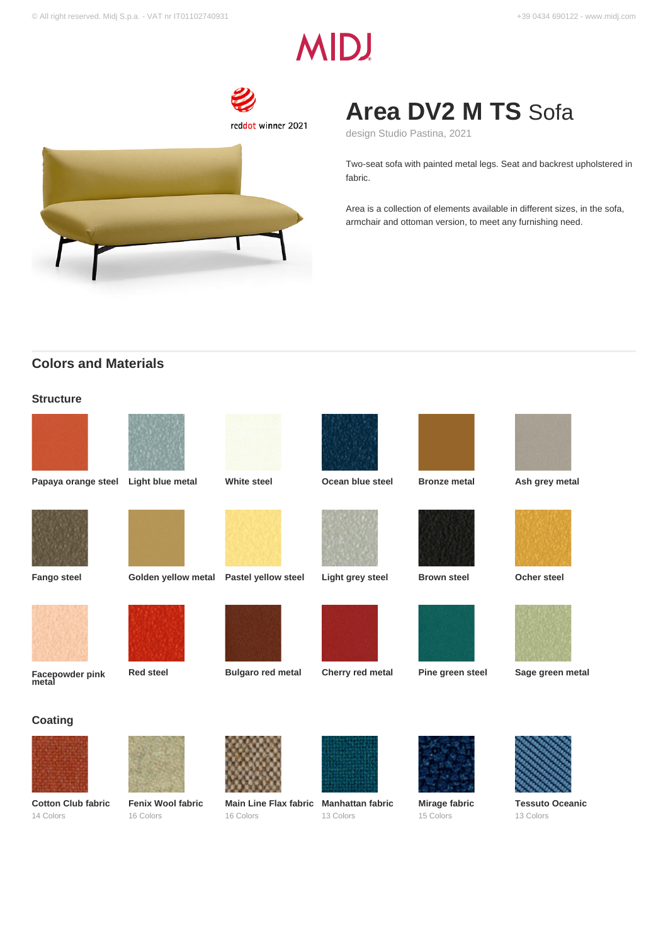# **MIDJ**



## **Area DV2 M TS** Sofa

design Studio Pastina, 2021

Two-seat sofa with painted metal legs. Seat and backrest upholstered in fabric.

Area is a collection of elements available in different sizes, in the sofa, armchair and ottoman version, to meet any furnishing need.

## **Colors and Materials**

## **Structure**









**Papaya orange steel Light blue metal White steel Ocean blue steel Bronze metal Ash grey metal**





**Fango steel Golden yellow metal Pastel yellow steel Light grey steel Brown steel Ocher steel**











**Red steel Bulgaro red metal Cherry red metal Pine green steel Sage green metal**

## **Coating**

**Facepowder pink metal**



**Cotton Club fabric** 14 Colors



**Fenix Wool fabric** 16 Colors



**Main Line Flax fabric Manhattan fabric** 16 Colors



13 Colors



**Mirage fabric** 15 Colors



**Tessuto Oceanic** 13 Colors





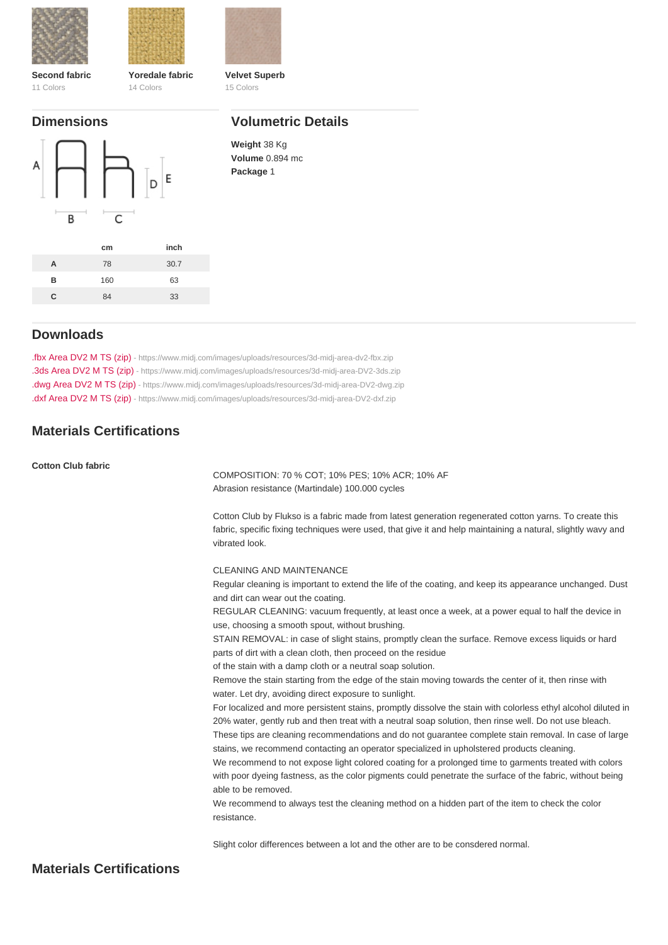| Second fabric | Yoredale fabric | Velvet Superb |
|---------------|-----------------|---------------|
| 11 Colors     | 14 Colors       | 15 Colors     |

## Dimensions

## Volumetric Details

Weight 38 Kg Volume 0.894 mc Package 1

|   | cm  | inch |
|---|-----|------|
| А | 78  | 30.7 |
| R | 160 | 63   |
| C | 84  | 33   |

## Downloads

[.fbx Area DV2 M TS \(zip\)](https://www.midj.com/images/uploads/resources/3d-midj-area-dv2-fbx.zip) [- https://www.midj.com/images/uploads/resources/3d-midj-area-dv2-fbx.zip](https://www.midj.com/images/uploads/resources/3d-midj-area-dv2-fbx.zip) [.3ds Area DV2 M TS \(zip\)](https://www.midj.com/images/uploads/resources/3d-midj-area-DV2-3ds.zip) [- https://www.midj.com/images/uploads/resources/3d-midj-area-DV2-3ds.zip](https://www.midj.com/images/uploads/resources/3d-midj-area-DV2-3ds.zip) [.dwg Area DV2 M TS \(zip\)](https://www.midj.com/images/uploads/resources/3d-midj-area-DV2-dwg.zip) [- https://www.midj.com/images/uploads/resources/3d-midj-area-DV2-dwg.zip](https://www.midj.com/images/uploads/resources/3d-midj-area-DV2-dwg.zip) [.dxf Area DV2 M TS \(zip\)](https://www.midj.com/images/uploads/resources/3d-midj-area-DV2-dxf.zip) [- https://www.midj.com/images/uploads/resources/3d-midj-area-DV2-dxf.zip](https://www.midj.com/images/uploads/resources/3d-midj-area-DV2-dxf.zip)

## Materials Certifications

Cotton Club fabric

COMPOSITION: 70 % COT; 10% PES; 10% ACR; 10% AF Abrasion resistance (Martindale) 100.000 cycles

Cotton Club by Flukso is a fabric made from latest generation regenerated cotton yarns. To create this fabric, specific fixing techniques were used, that give it and help maintaining a natural, slightly wavy and vibrated look.

CLEANING AND MAINTENANCE

Regular cleaning is important to extend the life of the coating, and keep its appearance unchanged. Dust and dirt can wear out the coating.

REGULAR CLEANING: vacuum frequently, at least once a week, at a power equal to half the device in use, choosing a smooth spout, without brushing.

STAIN REMOVAL: in case of slight stains, promptly clean the surface. Remove excess liquids or hard parts of dirt with a clean cloth, then proceed on the residue

of the stain with a damp cloth or a neutral soap solution.

Remove the stain starting from the edge of the stain moving towards the center of it, then rinse with water. Let dry, avoiding direct exposure to sunlight.

For localized and more persistent stains, promptly dissolve the stain with colorless ethyl alcohol diluted in 20% water, gently rub and then treat with a neutral soap solution, then rinse well. Do not use bleach.

These tips are cleaning recommendations and do not guarantee complete stain removal. In case of large stains, we recommend contacting an operator specialized in upholstered products cleaning.

We recommend to not expose light colored coating for a prolonged time to garments treated with colors with poor dyeing fastness, as the color pigments could penetrate the surface of the fabric, without being able to be removed.

We recommend to always test the cleaning method on a hidden part of the item to check the color resistance.

Slight color differences between a lot and the other are to be consdered normal.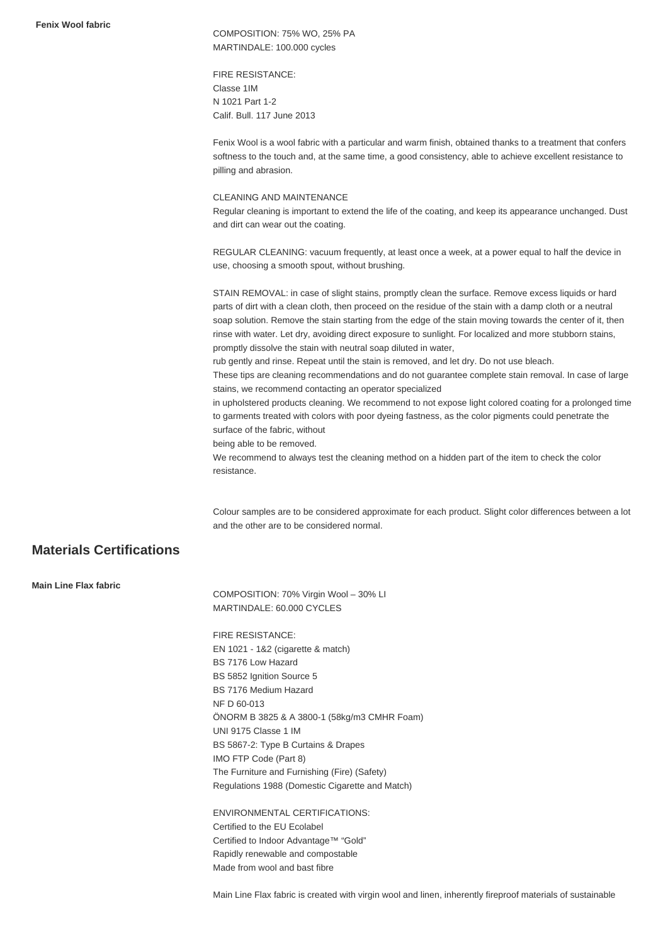**Fenix Wool fabric**

COMPOSITION: 75% WO, 25% PA MARTINDALE: 100.000 cycles

FIRE RESISTANCE: Classe 1IM N 1021 Part 1-2 Calif. Bull. 117 June 2013

Fenix Wool is a wool fabric with a particular and warm finish, obtained thanks to a treatment that confers softness to the touch and, at the same time, a good consistency, able to achieve excellent resistance to pilling and abrasion.

#### CLEANING AND MAINTENANCE

Regular cleaning is important to extend the life of the coating, and keep its appearance unchanged. Dust and dirt can wear out the coating.

REGULAR CLEANING: vacuum frequently, at least once a week, at a power equal to half the device in use, choosing a smooth spout, without brushing.

STAIN REMOVAL: in case of slight stains, promptly clean the surface. Remove excess liquids or hard parts of dirt with a clean cloth, then proceed on the residue of the stain with a damp cloth or a neutral soap solution. Remove the stain starting from the edge of the stain moving towards the center of it, then rinse with water. Let dry, avoiding direct exposure to sunlight. For localized and more stubborn stains, promptly dissolve the stain with neutral soap diluted in water,

rub gently and rinse. Repeat until the stain is removed, and let dry. Do not use bleach.

These tips are cleaning recommendations and do not guarantee complete stain removal. In case of large stains, we recommend contacting an operator specialized

in upholstered products cleaning. We recommend to not expose light colored coating for a prolonged time to garments treated with colors with poor dyeing fastness, as the color pigments could penetrate the surface of the fabric, without

being able to be removed.

We recommend to always test the cleaning method on a hidden part of the item to check the color resistance.

Colour samples are to be considered approximate for each product. Slight color differences between a lot and the other are to be considered normal.

## **Materials Certifications**

**Main Line Flax fabric**

COMPOSITION: 70% Virgin Wool – 30% LI MARTINDALE: 60.000 CYCLES

FIRE RESISTANCE: EN 1021 - 1&2 (cigarette & match) BS 7176 Low Hazard BS 5852 Ignition Source 5 BS 7176 Medium Hazard NF D 60-013 ÖNORM B 3825 & A 3800-1 (58kg/m3 CMHR Foam) UNI 9175 Classe 1 IM BS 5867-2: Type B Curtains & Drapes IMO FTP Code (Part 8) The Furniture and Furnishing (Fire) (Safety) Regulations 1988 (Domestic Cigarette and Match)

ENVIRONMENTAL CERTIFICATIONS: Certified to the EU Ecolabel Certified to Indoor Advantage™ "Gold" Rapidly renewable and compostable Made from wool and bast fibre

Main Line Flax fabric is created with virgin wool and linen, inherently fireproof materials of sustainable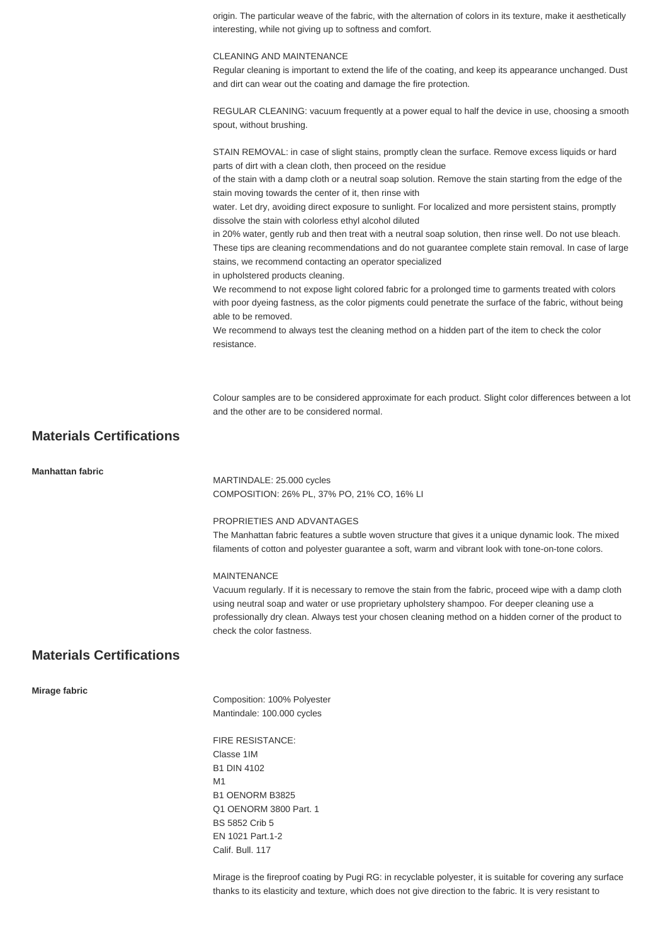origin. The particular weave of the fabric, with the alternation of colors in its texture, make it aesthetically interesting, while not giving up to softness and comfort.

#### CLEANING AND MAINTENANCE

Regular cleaning is important to extend the life of the coating, and keep its appearance unchanged. Dust and dirt can wear out the coating and damage the fire protection.

REGULAR CLEANING: vacuum frequently at a power equal to half the device in use, choosing a smooth spout, without brushing.

STAIN REMOVAL: in case of slight stains, promptly clean the surface. Remove excess liquids or hard parts of dirt with a clean cloth, then proceed on the residue

of the stain with a damp cloth or a neutral soap solution. Remove the stain starting from the edge of the stain moving towards the center of it, then rinse with

water. Let dry, avoiding direct exposure to sunlight. For localized and more persistent stains, promptly dissolve the stain with colorless ethyl alcohol diluted

in 20% water, gently rub and then treat with a neutral soap solution, then rinse well. Do not use bleach. These tips are cleaning recommendations and do not guarantee complete stain removal. In case of large stains, we recommend contacting an operator specialized

in upholstered products cleaning.

We recommend to not expose light colored fabric for a prolonged time to garments treated with colors with poor dyeing fastness, as the color pigments could penetrate the surface of the fabric, without being able to be removed.

We recommend to always test the cleaning method on a hidden part of the item to check the color resistance.

Colour samples are to be considered approximate for each product. Slight color differences between a lot and the other are to be considered normal.

## **Materials Certifications**

**Manhattan fabric**

MARTINDALE: 25.000 cycles COMPOSITION: 26% PL, 37% PO, 21% CO, 16% LI

#### PROPRIETIES AND ADVANTAGES

The Manhattan fabric features a subtle woven structure that gives it a unique dynamic look. The mixed filaments of cotton and polyester guarantee a soft, warm and vibrant look with tone-on-tone colors.

#### MAINTENANCE

Vacuum regularly. If it is necessary to remove the stain from the fabric, proceed wipe with a damp cloth using neutral soap and water or use proprietary upholstery shampoo. For deeper cleaning use a professionally dry clean. Always test your chosen cleaning method on a hidden corner of the product to check the color fastness.

## **Materials Certifications**

#### **Mirage fabric**

Composition: 100% Polyester Mantindale: 100.000 cycles

FIRE RESISTANCE: Classe 1IM B1 DIN 4102 M1 B1 OENORM B3825 Q1 OENORM 3800 Part. 1 BS 5852 Crib 5 EN 1021 Part.1-2 Calif. Bull. 117

Mirage is the fireproof coating by Pugi RG: in recyclable polyester, it is suitable for covering any surface thanks to its elasticity and texture, which does not give direction to the fabric. It is very resistant to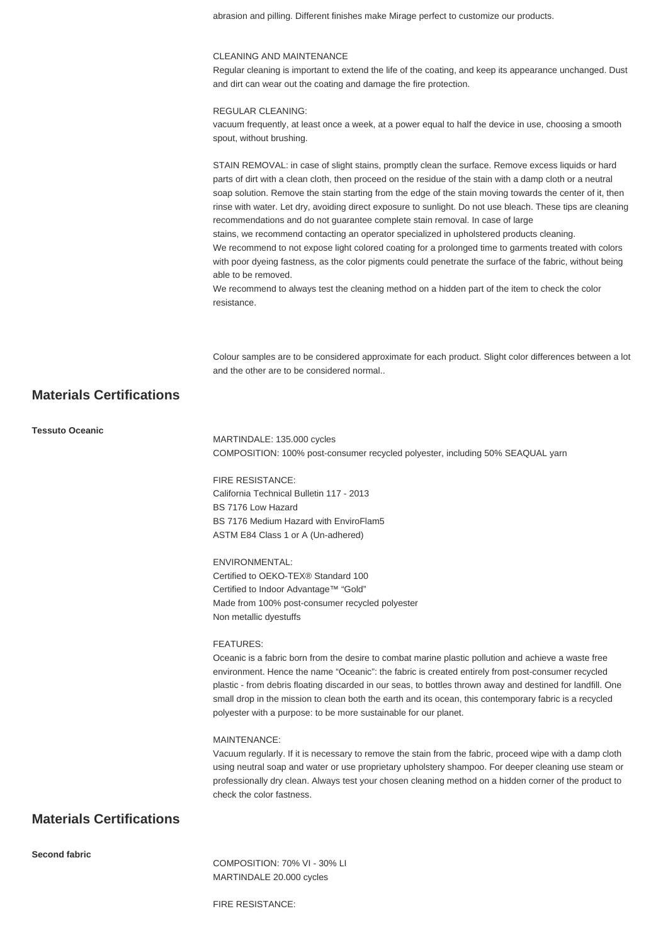abrasion and pilling. Different finishes make Mirage perfect to customize our products.

#### CLEANING AND MAINTENANCE

Regular cleaning is important to extend the life of the coating, and keep its appearance unchanged. Dust and dirt can wear out the coating and damage the fire protection.

#### REGULAR CLEANING:

vacuum frequently, at least once a week, at a power equal to half the device in use, choosing a smooth spout, without brushing.

STAIN REMOVAL: in case of slight stains, promptly clean the surface. Remove excess liquids or hard parts of dirt with a clean cloth, then proceed on the residue of the stain with a damp cloth or a neutral soap solution. Remove the stain starting from the edge of the stain moving towards the center of it, then rinse with water. Let dry, avoiding direct exposure to sunlight. Do not use bleach. These tips are cleaning recommendations and do not guarantee complete stain removal. In case of large stains, we recommend contacting an operator specialized in upholstered products cleaning. We recommend to not expose light colored coating for a prolonged time to garments treated with colors with poor dyeing fastness, as the color pigments could penetrate the surface of the fabric, without being able to be removed. We recommend to always test the cleaning method on a hidden part of the item to check the color resistance.

Colour samples are to be considered approximate for each product. Slight color differences between a lot and the other are to be considered normal..

## **Materials Certifications**

#### **Tessuto Oceanic**

MARTINDALE: 135.000 cycles COMPOSITION: 100% post-consumer recycled polyester, including 50% SEAQUAL yarn

### FIRE RESISTANCE: California Technical Bulletin 117 - 2013 BS 7176 Low Hazard BS 7176 Medium Hazard with EnviroFlam5 ASTM E84 Class 1 or A (Un-adhered)

#### ENVIRONMENTAL:

Certified to OEKO-TEX® Standard 100 Certified to Indoor Advantage™ "Gold" Made from 100% post-consumer recycled polyester Non metallic dyestuffs

#### FEATURES:

Oceanic is a fabric born from the desire to combat marine plastic pollution and achieve a waste free environment. Hence the name "Oceanic": the fabric is created entirely from post-consumer recycled plastic - from debris floating discarded in our seas, to bottles thrown away and destined for landfill. One small drop in the mission to clean both the earth and its ocean, this contemporary fabric is a recycled polyester with a purpose: to be more sustainable for our planet.

#### MAINTENANCE:

Vacuum regularly. If it is necessary to remove the stain from the fabric, proceed wipe with a damp cloth using neutral soap and water or use proprietary upholstery shampoo. For deeper cleaning use steam or professionally dry clean. Always test your chosen cleaning method on a hidden corner of the product to check the color fastness.

## **Materials Certifications**

**Second fabric**

COMPOSITION: 70% VI - 30% LI MARTINDALE 20.000 cycles

FIRE RESISTANCE: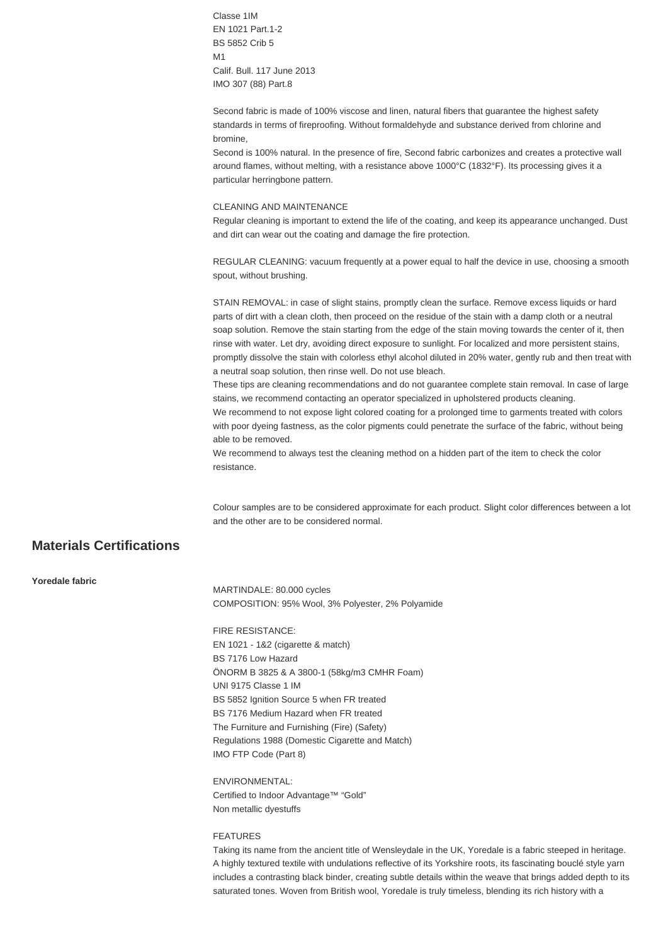Classe 1IM EN 1021 Part.1-2 BS 5852 Crib 5 M1 Calif. Bull. 117 June 2013 IMO 307 (88) Part.8

Second fabric is made of 100% viscose and linen, natural fibers that guarantee the highest safety standards in terms of fireproofing. Without formaldehyde and substance derived from chlorine and bromine,

Second is 100% natural. In the presence of fire, Second fabric carbonizes and creates a protective wall around flames, without melting, with a resistance above 1000°C (1832°F). Its processing gives it a particular herringbone pattern.

#### CLEANING AND MAINTENANCE

Regular cleaning is important to extend the life of the coating, and keep its appearance unchanged. Dust and dirt can wear out the coating and damage the fire protection.

REGULAR CLEANING: vacuum frequently at a power equal to half the device in use, choosing a smooth spout, without brushing.

STAIN REMOVAL: in case of slight stains, promptly clean the surface. Remove excess liquids or hard parts of dirt with a clean cloth, then proceed on the residue of the stain with a damp cloth or a neutral soap solution. Remove the stain starting from the edge of the stain moving towards the center of it, then rinse with water. Let dry, avoiding direct exposure to sunlight. For localized and more persistent stains, promptly dissolve the stain with colorless ethyl alcohol diluted in 20% water, gently rub and then treat with a neutral soap solution, then rinse well. Do not use bleach.

These tips are cleaning recommendations and do not guarantee complete stain removal. In case of large stains, we recommend contacting an operator specialized in upholstered products cleaning.

We recommend to not expose light colored coating for a prolonged time to garments treated with colors with poor dyeing fastness, as the color pigments could penetrate the surface of the fabric, without being able to be removed.

We recommend to always test the cleaning method on a hidden part of the item to check the color resistance.

Colour samples are to be considered approximate for each product. Slight color differences between a lot and the other are to be considered normal.

## **Materials Certifications**

**Yoredale fabric**

MARTINDALE: 80.000 cycles COMPOSITION: 95% Wool, 3% Polyester, 2% Polyamide

FIRE RESISTANCE: EN 1021 - 1&2 (cigarette & match) BS 7176 Low Hazard ÖNORM B 3825 & A 3800-1 (58kg/m3 CMHR Foam) UNI 9175 Classe 1 IM BS 5852 Ignition Source 5 when FR treated BS 7176 Medium Hazard when FR treated The Furniture and Furnishing (Fire) (Safety) Regulations 1988 (Domestic Cigarette and Match) IMO FTP Code (Part 8)

ENVIRONMENTAL: Certified to Indoor Advantage™ "Gold" Non metallic dyestuffs

#### FEATURES

Taking its name from the ancient title of Wensleydale in the UK, Yoredale is a fabric steeped in heritage. A highly textured textile with undulations reflective of its Yorkshire roots, its fascinating bouclé style yarn includes a contrasting black binder, creating subtle details within the weave that brings added depth to its saturated tones. Woven from British wool, Yoredale is truly timeless, blending its rich history with a